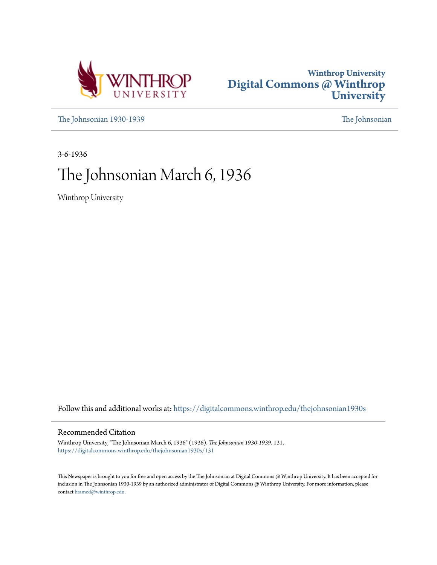



[The Johnsonian 1930-1939](https://digitalcommons.winthrop.edu/thejohnsonian1930s?utm_source=digitalcommons.winthrop.edu%2Fthejohnsonian1930s%2F131&utm_medium=PDF&utm_campaign=PDFCoverPages) [The Johnsonian](https://digitalcommons.winthrop.edu/thejohnsonian_newspaper?utm_source=digitalcommons.winthrop.edu%2Fthejohnsonian1930s%2F131&utm_medium=PDF&utm_campaign=PDFCoverPages)

3-6-1936

# The Johnsonian March 6, 1936

Winthrop University

Follow this and additional works at: [https://digitalcommons.winthrop.edu/thejohnsonian1930s](https://digitalcommons.winthrop.edu/thejohnsonian1930s?utm_source=digitalcommons.winthrop.edu%2Fthejohnsonian1930s%2F131&utm_medium=PDF&utm_campaign=PDFCoverPages)

# Recommended Citation

Winthrop University, "The Johnsonian March 6, 1936" (1936). *The Johnsonian 1930-1939*. 131. [https://digitalcommons.winthrop.edu/thejohnsonian1930s/131](https://digitalcommons.winthrop.edu/thejohnsonian1930s/131?utm_source=digitalcommons.winthrop.edu%2Fthejohnsonian1930s%2F131&utm_medium=PDF&utm_campaign=PDFCoverPages)

This Newspaper is brought to you for free and open access by the The Johnsonian at Digital Commons @ Winthrop University. It has been accepted for inclusion in The Johnsonian 1930-1939 by an authorized administrator of Digital Commons @ Winthrop University. For more information, please contact [bramed@winthrop.edu](mailto:bramed@winthrop.edu).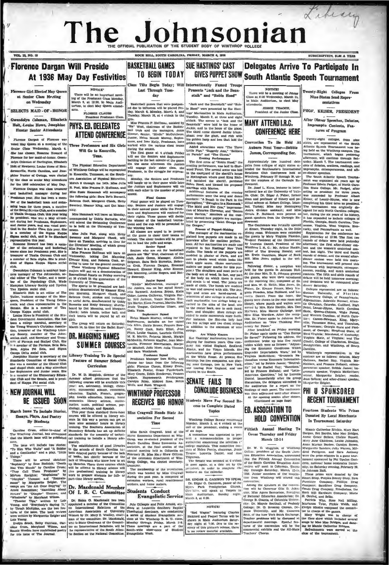# Library The Johnsonian SUBSCRIPTION, SLOO A YEAR

# **Florence Dargan Will Preside**

VOL. 13, NO. 19

# At 1936 May Day Festivities

ee Girl Blected May Que at Senior Class Mecling<br>on Wednesday

**SELECTS MAID, OF, HONOR** 

Gwendolyn Coleman, Elizabeth Holt, Louise Howe, Josephine **Hunter Senior Attendants** 

Dargan of Flore oted May Queen at a meeting of the Three Professors and Six Girls voted may white Wednesday, March 4.<br>She has chosen Rosanne Howard of rence for her maid-of-honor. Gwen $len \alpha$ an of Darlington, Elb Holt of Newberry, Louise Howe of Hen-New ACTIV, LOUISE HOWE Of Hen-<br>Conville, North Carolina, and Jose- of Winthrop College will be represented<br>the Hunter of Owings, were elected in Knoxville, Tennessee, at the Southhine Hu by the class as senior May attendants

Preshman year, Rise has been letter and studie it is considered. When the counter of the has been some weak was a small that it is considered at the studies of the hast been studies and a small be a small be a small be a

erata, and classe representative in the Burnette and Hetiy Sweeney; hadile and set as a member of Thu board by Dot Manning, and Margaret Jensis Tensis Challents University and Equivalent associated to the member of the Ha

MOTH'S re will be an in ing of the Freshman Class March 9, at 13:30, in Mai torium, to elect May Queen

PLOSSIE CLAUSE<br>President Preshm

# PHYS. FD. DELEGATES **ATTEND CONFERENCE**

Will Go to Knoxville,

Tenn. The Physical Educat on Den

Will<br>Pres<br>acy.<br>M

hine Hunter of Owings, were elected in Knoxville, Tennessee, at the South-<br>
and Mark and Mechanism where the state of the South Party and Schedule and Schedule and Mechanism where<br>
or the 1936 celebration of May Day. Morth

son,<br>
The issue will hoose with some and "A Some ...<br>
The issue will be considered into detecting into the correct with the correct space of the space of the space of the space of the space of the space of the space of th

**TO BEGIN TODAY** Class Tilts Begin Today; Will Internationally Famed Tr Last Through Tues-Presents "incl. and the Ress

day

**BASKETBALL GAMES** 

Baaketball games that were postpon-<br>ed due to influence sull be played Fri- in Hood" were presented by Sue Hast<br>day, March 6, Monday, March 9, and legs' Mariemettes in Math Auditorius<br>Tuesday, March 10, at 4 o'clock in the

In Hood" were  $\mu$ .<br>
Inga' Marionetter in Mahn  $\mu$ <sub>3</sub>, March 19, at three and eighted Totedock. The scenes in "Jack and ( $\alpha$ -angtalk" wore laid in the home of the glan<br>  $\alpha$ -angtalk" wore laid in the home of the glan<br> Tuesday, March 10, at 4 o'clock in the pression. March 1, at 1, three 1981, and the most grames P. Hoffman, anisoted by phenometric Terms in the most control control. The most control of the most control of the most contr

s colder eggs.<br>
Little Pigs," "Raggedy Ann," "Sold<br>
Little Pigs," "Raggedy Ann," "Sold<br>
I on Parado" and "The Cheena."<br>
Evening Performance<br>
"Solda Hood,"<br>
The first scene of "Roula Hood,"

**SUE HASTINGS' CAST** 

stalk" and "Robin Hood"

performance, was laid in<br>rest. The second seals in read Porest. The second second porest.<br>In the courts area the second second the sheriff's hours in the second second King Rie and Manham where good King Rie

te<br>
narriage with Marina,<br>
ts<br>
marriage with Marina,<br>
Additional features of the eve<br>
performance were the song and d<br>
numbers: "A Bench in the Park is performance were the sung and dang<br>| numbers: "A Bench in the Park in the<br>| Springtime," "Swingine in a Hammock<br>| "The Maid and Her Cow," impersons tion of Maurice Chevaller, and "Scend<br>from Harlem." Members of the eng pany showed how puppets are mainted by presenting "Saint Georg

repaired in bure manimas New York<br>studio. The heads of the puppets are<br>modeled in plaster of Paris, and are<br>cast in plastle wood which looks like<br>thick apple sauce. (Somo marionetic-

**CONCLUDE BUSINESS Students Move For Second Re-**

Monday, Multipu Senate reconvened<br>Monday, March 3, at 4 o'elock at the<br>call of the president, ending a recess<br>of six days.

NOTICE!<br>There will be a meeting of Junior<br>Class at 6:30 Wednesday, March 11,<br>in Main Auditorium, to elect May

GIVES PUPPET SHOW South Atlantic Speech Tournament

Delegates Arrive To Participate In

.<br>JESSIE TEAGUE,<br>dent of the Junior

**MANY ATTENDI.R.C. CONFERENCE HERE** 

Convention To Be Held At Auburn Next Year-Bobbie James, Corresponding Sec.

App tely two hundred dele tes from colleges of sight states atgenes from concepts of mgm states are<br>Relations Club Conference held at explanations Club Conference held at explanations Club Conference held at explanations of the amplitude of the carrier in the same of the Carrier of

lowment.<br>Dr. Josef L. Kunz, lecturer in international law at the University of Tole-<br>do. Ohio; Dr. Edgar J. Fisher, former or of history and poan and profess con and protessor of Inistery and pos- Keiser, of Lendar-Rhyne, who is included in the state of Inistery. Although Heming a originally three conductions of the state and the state of the state of the state of the state of

Inted by presenting "Stati George and downent. From expansion on measure of the Captors and South Catolica, The Captors and South Catolica, The Captors and South Catolica Registration for the conference was formula posed

model in plants word which and specific the same Maximum Share is a second fitter and the same of the same of the same interest in the same of the same of the same interest in the same interest in the same interest in the

ns. the delegates assemi the suditorium for a report on the fine was then adjourned until after din At the opening semion after din<br>(Cantinued on page four)

**ED. ASSOCIATION TO HOLD CONVENTION** 

Fiftieth Annual Meeting To

Teamic Lucretta Danks!, and Ann College, preddent of the South Care<br>Telemann. The Parties was recented at 0 orbicle that British Annual Convention<br>(The Parties of the South Care and Convention (To meet again, at a date se

 $[{\rm DR. \ EIGAR \ G. \ GAMMON \ T0. \ FWHM10. \ FWHM21. \ FWHM32. \ FWHM43. \ FWHM54. \ FWHM55. \ FWHM56. \ FWHM57. \ FWHM58. \ FWHM59. \ FWHM59. \ FWHM59. \ FWHM59. \ FWHM59. \ FWHM59. \ FWHM59. \ FWHM59. \ FWHM59. \ FWHM59. \ FWHM59. \ FWHM59. \ FWHM59. \ FWHM59. \ FWHM59. \ FWHM59. \ FWHM59. \ FWHM59. \ FWHM59. \ FWH$ 

Twenty-Eight Colleges From Nine States Send Reprecontroller

PROF. KEISER PRESIDENT

After Dinner Speeches, Debates, Impromptu Contests, Features of Program

Twenty-eight colleges, from states, are repe aow be-<br>campus. The<br>an yesterd Atlantic Speech Tournament surpament, which he uerday<br>th Sat ufternoon, will conti- $\overline{m}$ urday, Ma rch 7. The to sists of dobates, gratt ta, reads asis or occates, orations, imprompts.<br>| imprompts. extemporaned<br>| er-dinner speeches.<br>| The South Atlantic Spe

ence when organized six years ago by<br>Professor Edwin Padget, of North Caro-<br>Ilna State College. Mr. Padget, after acting as presidents  $f_{\text{CFT}}$  $th$ ded by Pro yne, who is not ally de 

ready asset might. The third and Reported to the second in dimer contest were beld this number

PHI U SPUNSORED **RECENT TOURNAMENT** 

Fourteen Students Win Prizes Donated By Local Merchants In Tournament Saturday

Mamic Catherine Bitchip Manule Gatherine Richie, Mary Hart<br>Dargan, Bet Bardin, Mae Mac Bridges,<br>Annie Grace Bellers, Chelaie Russell,<br>Mary Jane Childress, Louise Johnston,<br>Anna Marian Busbee. Carolyn Brown.<br>Marguerite Sanders, Julia Warren. Mil-Acarguerite Sanders, Julia Warren<br>dred Pettigrew, and Sara An<br>were the prize-winners in a game<br>nament sponsored by Phi Upsilon and case.<br>there in a game tour-<br>that Upsalon Omicrop, national hon nies fr nity, on Saturday evening, Febr ury 39 in Johnson Hall

These prizes were donated by ert S op, Peoples Beauty Sh Smar<br>Purn Bax

 $[ \begin{array}{l|l|l|} \hline \textbf{transl} & \textbf{Tree} & \textbf{South} & \textbf{st} \\ \hline \textbf{disconducting. The South error Association of the data of the second. The most of the data of the data of the data. The most of the data of the data of the data. The data of the data of the data of the data. The data of the data is not a good. Therefore, the data is not a good. The data of the data is not a good. The data is a good. The data is a good for the data. The data is a good for the data. The data is a good for the data. The data is a good for the data. The data is a good for the data. The data is a good for the data. The data is a good for the data. The data is a good for the data. The data is a good for the data. The$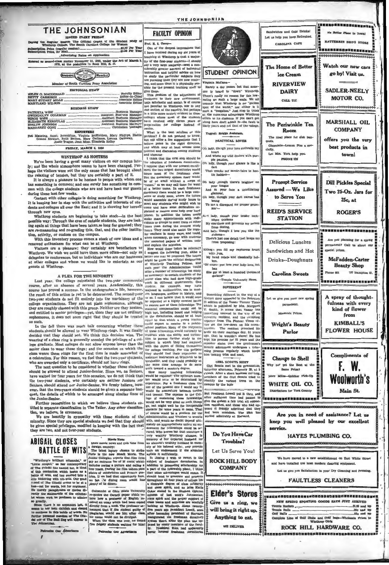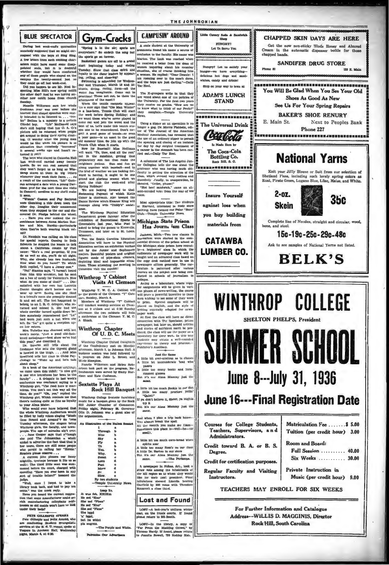

**De Our Advertisers** 

÷

FRE GUISSELE STEARS<br>are conducting Student Felix Armold, who are conducting Student Evangelistic<br>services at the B. S. U. rooms, spoke at<br>Vespers in Johnson Hall, Wednesday pers in Johnson Hall, We<br>ht, March 4, at \$:30.

LOST-In the library, a copy of "Far From the Madding Crowd." by<br>Thomas Hardy. If found, please return to Juanita Rowell, 733 Roddey Hal.